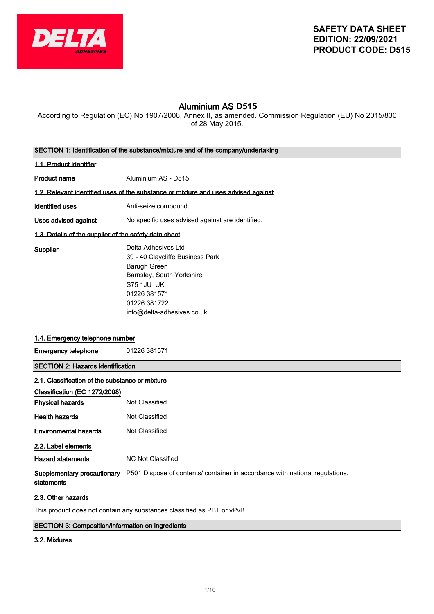

# Aluminium AS **D515**

According to Regulation (EC) No 1907/2006, Annex II, as amended. Commission Regulation (EU) No 2015/830 of 28 May 2015.

| SECTION 1: Identification of the substance/mixture and of the company/undertaking |                                                                                                                                                                                         |  |
|-----------------------------------------------------------------------------------|-----------------------------------------------------------------------------------------------------------------------------------------------------------------------------------------|--|
| 1.1. Product identifier                                                           |                                                                                                                                                                                         |  |
| <b>Product name</b>                                                               | Aluminium AS - D515                                                                                                                                                                     |  |
|                                                                                   | 1.2. Relevant identified uses of the substance or mixture and uses advised against                                                                                                      |  |
| <b>Identified uses</b>                                                            | Anti-seize compound.                                                                                                                                                                    |  |
| Uses advised against                                                              | No specific uses advised against are identified.                                                                                                                                        |  |
| 1.3. Details of the supplier of the safety data sheet                             |                                                                                                                                                                                         |  |
| Supplier                                                                          | Delta Adhesives Ltd<br>39 - 40 Claycliffe Business Park<br>Barugh Green<br>Barnsley, South Yorkshire<br><b>S75 1JU UK</b><br>01226 381571<br>01226 381722<br>info@delta-adhesives.co.uk |  |
| 1.4. Emergency telephone number                                                   |                                                                                                                                                                                         |  |
| <b>Emergency telephone</b>                                                        | 01226 381571                                                                                                                                                                            |  |
| <b>SECTION 2: Hazards identification</b>                                          |                                                                                                                                                                                         |  |
| 2.1. Classification of the substance or mixture                                   |                                                                                                                                                                                         |  |
| Classification (EC 1272/2008)                                                     |                                                                                                                                                                                         |  |
| <b>Physical hazards</b>                                                           | Not Classified                                                                                                                                                                          |  |
| <b>Health hazards</b>                                                             | Not Classified                                                                                                                                                                          |  |
| <b>Environmental hazards</b>                                                      | Not Classified                                                                                                                                                                          |  |
| 2.2. Label elements                                                               |                                                                                                                                                                                         |  |
| <b>Hazard statements</b>                                                          | <b>NC Not Classified</b>                                                                                                                                                                |  |
| Supplementary precautionary<br>statements                                         | P501 Dispose of contents/ container in accordance with national regulations.                                                                                                            |  |
| 2.3. Other hazards                                                                |                                                                                                                                                                                         |  |

This product does not contain any substances classified as PBT or vPvB.

# SECTION 3: Composition/information on ingredients

### 3.2. Mixtures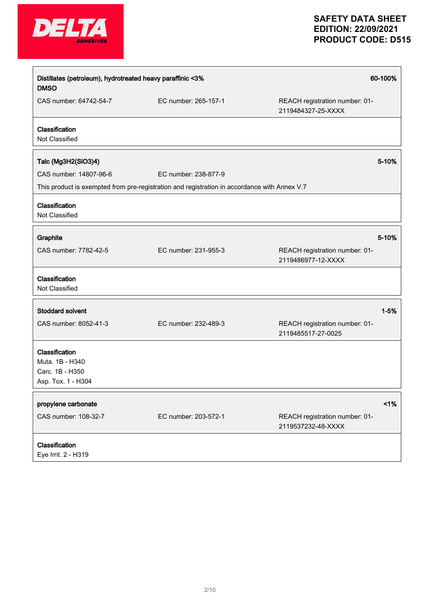

| Distillates (petroleum), hydrotreated heavy paraffinic <3%<br><b>DMSO</b>  |                                                                                              | 60-100%                                              |
|----------------------------------------------------------------------------|----------------------------------------------------------------------------------------------|------------------------------------------------------|
| CAS number: 64742-54-7                                                     | EC number: 265-157-1                                                                         | REACH registration number: 01-<br>2119484327-25-XXXX |
| Classification<br>Not Classified                                           |                                                                                              |                                                      |
| Talc (Mg3H2(SiO3)4)                                                        |                                                                                              | 5-10%                                                |
| CAS number: 14807-96-6                                                     | EC number: 238-877-9                                                                         |                                                      |
|                                                                            | This product is exempted from pre-registration and registration in accordance with Annex V.7 |                                                      |
| Classification<br>Not Classified                                           |                                                                                              |                                                      |
| Graphite                                                                   |                                                                                              | 5-10%                                                |
| CAS number: 7782-42-5                                                      | EC number: 231-955-3                                                                         | REACH registration number: 01-<br>2119486977-12-XXXX |
| Classification<br>Not Classified                                           |                                                                                              |                                                      |
| <b>Stoddard solvent</b>                                                    |                                                                                              | $1 - 5%$                                             |
| CAS number: 8052-41-3                                                      | EC number: 232-489-3                                                                         | REACH registration number: 01-<br>2119485517-27-0025 |
| Classification<br>Muta. 1B - H340<br>Carc. 1B - H350<br>Asp. Tox. 1 - H304 |                                                                                              |                                                      |
| propylene carbonate                                                        |                                                                                              | $<$ 1%                                               |
| CAS number: 108-32-7                                                       | EC number: 203-572-1                                                                         | REACH registration number: 01-<br>2119537232-48-XXXX |
| Classification                                                             |                                                                                              |                                                      |
| Eye Irrit. 2 - H319                                                        |                                                                                              |                                                      |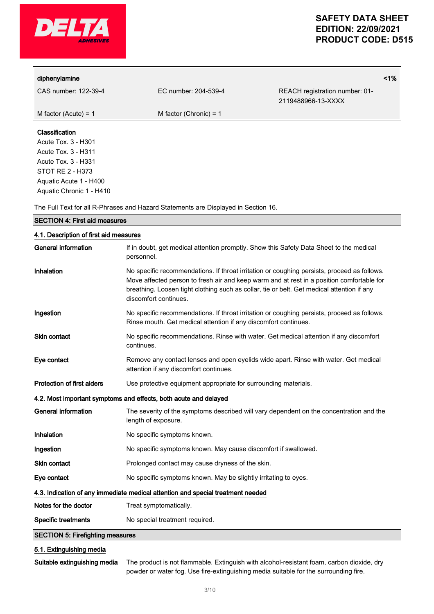

| diphenylamine                                                                                                                                                 |                          |                                                      | 1% |
|---------------------------------------------------------------------------------------------------------------------------------------------------------------|--------------------------|------------------------------------------------------|----|
| CAS number: 122-39-4                                                                                                                                          | EC number: 204-539-4     | REACH registration number: 01-<br>2119488966-13-XXXX |    |
| M factor (Acute) = $1$                                                                                                                                        | M factor (Chronic) = $1$ |                                                      |    |
| Classification<br>Acute Tox. 3 - H301<br>Acute Tox. 3 - H311<br>Acute Tox. 3 - H331<br>STOT RE 2 - H373<br>Aquatic Acute 1 - H400<br>Aquatic Chronic 1 - H410 |                          |                                                      |    |

The Full Text for all R-Phrases and Hazard Statements are Displayed in Section 16.

| <b>SECTION 4: First aid measures</b>                                            |                                                                                                                                                                                                                                                                                                                 |  |
|---------------------------------------------------------------------------------|-----------------------------------------------------------------------------------------------------------------------------------------------------------------------------------------------------------------------------------------------------------------------------------------------------------------|--|
| 4.1. Description of first aid measures                                          |                                                                                                                                                                                                                                                                                                                 |  |
| <b>General information</b>                                                      | If in doubt, get medical attention promptly. Show this Safety Data Sheet to the medical<br>personnel.                                                                                                                                                                                                           |  |
| Inhalation                                                                      | No specific recommendations. If throat irritation or coughing persists, proceed as follows.<br>Move affected person to fresh air and keep warm and at rest in a position comfortable for<br>breathing. Loosen tight clothing such as collar, tie or belt. Get medical attention if any<br>discomfort continues. |  |
| Ingestion                                                                       | No specific recommendations. If throat irritation or coughing persists, proceed as follows.<br>Rinse mouth. Get medical attention if any discomfort continues.                                                                                                                                                  |  |
| <b>Skin contact</b>                                                             | No specific recommendations. Rinse with water. Get medical attention if any discomfort<br>continues.                                                                                                                                                                                                            |  |
| Eye contact                                                                     | Remove any contact lenses and open eyelids wide apart. Rinse with water. Get medical<br>attention if any discomfort continues.                                                                                                                                                                                  |  |
| <b>Protection of first aiders</b>                                               | Use protective equipment appropriate for surrounding materials.                                                                                                                                                                                                                                                 |  |
|                                                                                 | 4.2. Most important symptoms and effects, both acute and delayed                                                                                                                                                                                                                                                |  |
| <b>General information</b>                                                      | The severity of the symptoms described will vary dependent on the concentration and the<br>length of exposure.                                                                                                                                                                                                  |  |
| Inhalation                                                                      | No specific symptoms known.                                                                                                                                                                                                                                                                                     |  |
| Ingestion                                                                       | No specific symptoms known. May cause discomfort if swallowed.                                                                                                                                                                                                                                                  |  |
| <b>Skin contact</b>                                                             | Prolonged contact may cause dryness of the skin.                                                                                                                                                                                                                                                                |  |
| Eye contact                                                                     | No specific symptoms known. May be slightly irritating to eyes.                                                                                                                                                                                                                                                 |  |
| 4.3. Indication of any immediate medical attention and special treatment needed |                                                                                                                                                                                                                                                                                                                 |  |
| Notes for the doctor                                                            | Treat symptomatically.                                                                                                                                                                                                                                                                                          |  |
| <b>Specific treatments</b>                                                      | No special treatment required.                                                                                                                                                                                                                                                                                  |  |

SECTION 5: Firefighting measures

## 5.1. Extinguishing media

Suitable extinguishing media The product is not flammable. Extinguish with alcohol-resistant foam, carbon dioxide, dry powder or water fog. Use fire-extinguishing media suitable for the surrounding fire.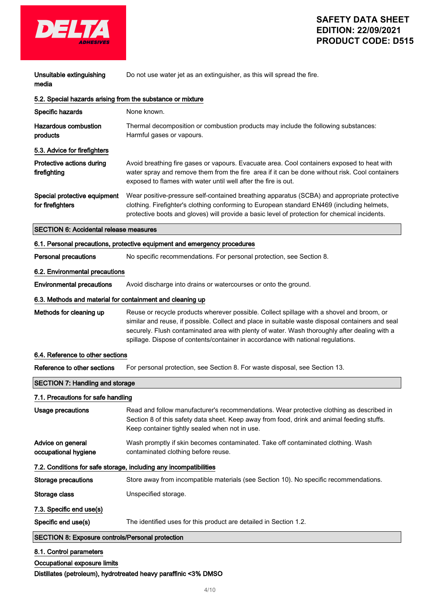

| Unsuitable extinguishing<br>media                                 | Do not use water jet as an extinguisher, as this will spread the fire.                                                                                                                                                                                                                                                                                                            |  |
|-------------------------------------------------------------------|-----------------------------------------------------------------------------------------------------------------------------------------------------------------------------------------------------------------------------------------------------------------------------------------------------------------------------------------------------------------------------------|--|
| 5.2. Special hazards arising from the substance or mixture        |                                                                                                                                                                                                                                                                                                                                                                                   |  |
| Specific hazards                                                  | None known.                                                                                                                                                                                                                                                                                                                                                                       |  |
| <b>Hazardous combustion</b><br>products                           | Thermal decomposition or combustion products may include the following substances:<br>Harmful gases or vapours.                                                                                                                                                                                                                                                                   |  |
| 5.3. Advice for firefighters                                      |                                                                                                                                                                                                                                                                                                                                                                                   |  |
| Protective actions during<br>firefighting                         | Avoid breathing fire gases or vapours. Evacuate area. Cool containers exposed to heat with<br>water spray and remove them from the fire area if it can be done without risk. Cool containers<br>exposed to flames with water until well after the fire is out.                                                                                                                    |  |
| Special protective equipment<br>for firefighters                  | Wear positive-pressure self-contained breathing apparatus (SCBA) and appropriate protective<br>clothing. Firefighter's clothing conforming to European standard EN469 (including helmets,<br>protective boots and gloves) will provide a basic level of protection for chemical incidents.                                                                                        |  |
| <b>SECTION 6: Accidental release measures</b>                     |                                                                                                                                                                                                                                                                                                                                                                                   |  |
|                                                                   | 6.1. Personal precautions, protective equipment and emergency procedures                                                                                                                                                                                                                                                                                                          |  |
| <b>Personal precautions</b>                                       | No specific recommendations. For personal protection, see Section 8.                                                                                                                                                                                                                                                                                                              |  |
| 6.2. Environmental precautions                                    |                                                                                                                                                                                                                                                                                                                                                                                   |  |
| <b>Environmental precautions</b>                                  | Avoid discharge into drains or watercourses or onto the ground.                                                                                                                                                                                                                                                                                                                   |  |
| 6.3. Methods and material for containment and cleaning up         |                                                                                                                                                                                                                                                                                                                                                                                   |  |
| Methods for cleaning up                                           | Reuse or recycle products wherever possible. Collect spillage with a shovel and broom, or<br>similar and reuse, if possible. Collect and place in suitable waste disposal containers and seal<br>securely. Flush contaminated area with plenty of water. Wash thoroughly after dealing with a<br>spillage. Dispose of contents/container in accordance with national regulations. |  |
| 6.4. Reference to other sections                                  |                                                                                                                                                                                                                                                                                                                                                                                   |  |
| Reference to other sections                                       | For personal protection, see Section 8. For waste disposal, see Section 13.                                                                                                                                                                                                                                                                                                       |  |
| <b>SECTION 7: Handling and storage</b>                            |                                                                                                                                                                                                                                                                                                                                                                                   |  |
| 7.1. Precautions for safe handling                                |                                                                                                                                                                                                                                                                                                                                                                                   |  |
| <b>Usage precautions</b>                                          | Read and follow manufacturer's recommendations. Wear protective clothing as described in<br>Section 8 of this safety data sheet. Keep away from food, drink and animal feeding stuffs.<br>Keep container tightly sealed when not in use.                                                                                                                                          |  |
| Advice on general<br>occupational hygiene                         | Wash promptly if skin becomes contaminated. Take off contaminated clothing. Wash<br>contaminated clothing before reuse.                                                                                                                                                                                                                                                           |  |
| 7.2. Conditions for safe storage, including any incompatibilities |                                                                                                                                                                                                                                                                                                                                                                                   |  |
| <b>Storage precautions</b>                                        | Store away from incompatible materials (see Section 10). No specific recommendations.                                                                                                                                                                                                                                                                                             |  |
| Storage class                                                     | Unspecified storage.                                                                                                                                                                                                                                                                                                                                                              |  |
| 7.3. Specific end use(s)                                          |                                                                                                                                                                                                                                                                                                                                                                                   |  |
| Specific end use(s)                                               | The identified uses for this product are detailed in Section 1.2.                                                                                                                                                                                                                                                                                                                 |  |
| <b>SECTION 8: Exposure controls/Personal protection</b>           |                                                                                                                                                                                                                                                                                                                                                                                   |  |
| 8.1. Control parameters                                           |                                                                                                                                                                                                                                                                                                                                                                                   |  |
| Occupational exposure limits                                      |                                                                                                                                                                                                                                                                                                                                                                                   |  |

Distillates (petroleum), hydrotreated heavy paraffinic <3% DMSO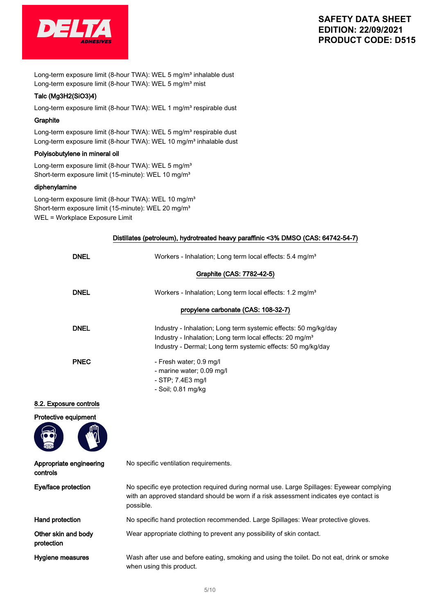

Long-term exposure limit (8-hour TWA): WEL 5 mg/m<sup>3</sup> inhalable dust Long-term exposure limit (8-hour TWA): WEL 5 mg/m<sup>3</sup> mist

#### Talc (Mg3H2(SiO3)4)

Long-term exposure limit (8-hour TWA): WEL 1 mg/m<sup>3</sup> respirable dust

#### **Graphite**

Long-term exposure limit (8-hour TWA): WEL 5 mg/m<sup>3</sup> respirable dust Long-term exposure limit (8-hour TWA): WEL 10 mg/m<sup>3</sup> inhalable dust

#### Polyisobutylene in mineral oil

Long-term exposure limit (8-hour TWA): WEL 5 mg/m<sup>3</sup> Short-term exposure limit (15-minute): WEL 10 mg/m<sup>3</sup>

### diphenylamine

Long-term exposure limit (8-hour TWA): WEL 10 mg/m<sup>3</sup> Short-term exposure limit (15-minute): WEL 20 mg/m<sup>3</sup> WEL = Workplace Exposure Limit

|                                     | Distillates (petroleum), hydrotreated heavy paraffinic <3% DMSO (CAS: 64742-54-7)                                                                                                                      |
|-------------------------------------|--------------------------------------------------------------------------------------------------------------------------------------------------------------------------------------------------------|
| <b>DNEL</b>                         | Workers - Inhalation; Long term local effects: 5.4 mg/m <sup>3</sup>                                                                                                                                   |
|                                     | Graphite (CAS: 7782-42-5)                                                                                                                                                                              |
| <b>DNEL</b>                         | Workers - Inhalation; Long term local effects: 1.2 mg/m <sup>3</sup>                                                                                                                                   |
|                                     | propylene carbonate (CAS: 108-32-7)                                                                                                                                                                    |
| <b>DNEL</b>                         | Industry - Inhalation; Long term systemic effects: 50 mg/kg/day<br>Industry - Inhalation; Long term local effects: 20 mg/m <sup>3</sup><br>Industry - Dermal; Long term systemic effects: 50 mg/kg/day |
| <b>PNEC</b>                         | - Fresh water; 0.9 mg/l<br>- marine water; 0.09 mg/l<br>- STP; 7.4E3 mg/l<br>- Soil; 0.81 mg/kg                                                                                                        |
| 8.2. Exposure controls              |                                                                                                                                                                                                        |
| Protective equipment                |                                                                                                                                                                                                        |
| Appropriate engineering<br>controls | No specific ventilation requirements.                                                                                                                                                                  |
| Eye/face protection                 | No specific eye protection required during normal use. Large Spillages: Eyewear complying<br>with an approved standard should be worn if a risk assessment indicates eye contact is<br>possible.       |
| Hand protection                     | No specific hand protection recommended. Large Spillages: Wear protective gloves.                                                                                                                      |
| Other skin and body<br>protection   | Wear appropriate clothing to prevent any possibility of skin contact.                                                                                                                                  |
| Hygiene measures                    | Wash after use and before eating, smoking and using the toilet. Do not eat, drink or smoke<br>when using this product.                                                                                 |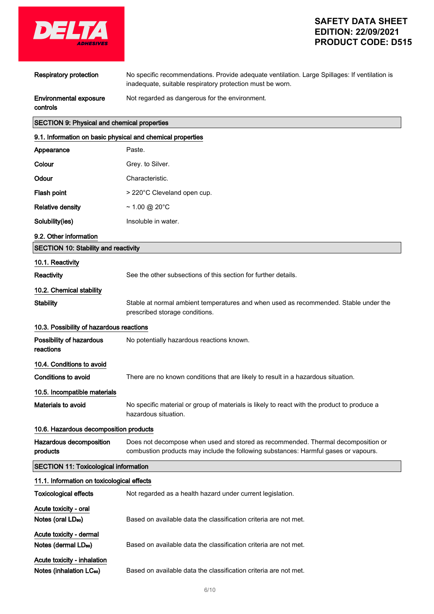

| <b>Respiratory protection</b>                              | No specific recommendations. Provide adequate ventilation. Large Spillages: If ventilation is<br>inadequate, suitable respiratory protection must be worn.              |  |
|------------------------------------------------------------|-------------------------------------------------------------------------------------------------------------------------------------------------------------------------|--|
| Environmental exposure<br>controls                         | Not regarded as dangerous for the environment.                                                                                                                          |  |
| <b>SECTION 9: Physical and chemical properties</b>         |                                                                                                                                                                         |  |
| 9.1. Information on basic physical and chemical properties |                                                                                                                                                                         |  |
| Appearance                                                 | Paste.                                                                                                                                                                  |  |
| Colour                                                     | Grey. to Silver.                                                                                                                                                        |  |
| Odour                                                      | Characteristic.                                                                                                                                                         |  |
| Flash point                                                | > 220°C Cleveland open cup.                                                                                                                                             |  |
| <b>Relative density</b>                                    | $\sim$ 1.00 @ 20°C                                                                                                                                                      |  |
| Solubility(ies)                                            | Insoluble in water.                                                                                                                                                     |  |
| 9.2. Other information                                     |                                                                                                                                                                         |  |
| SECTION 10: Stability and reactivity                       |                                                                                                                                                                         |  |
| 10.1. Reactivity                                           |                                                                                                                                                                         |  |
| Reactivity                                                 | See the other subsections of this section for further details.                                                                                                          |  |
| 10.2. Chemical stability                                   |                                                                                                                                                                         |  |
| <b>Stability</b>                                           | Stable at normal ambient temperatures and when used as recommended. Stable under the<br>prescribed storage conditions.                                                  |  |
| 10.3. Possibility of hazardous reactions                   |                                                                                                                                                                         |  |
| Possibility of hazardous<br>reactions                      | No potentially hazardous reactions known.                                                                                                                               |  |
| 10.4. Conditions to avoid                                  |                                                                                                                                                                         |  |
| Conditions to avoid                                        | There are no known conditions that are likely to result in a hazardous situation.                                                                                       |  |
| 10.5. Incompatible materials                               |                                                                                                                                                                         |  |
| Materials to avoid                                         | No specific material or group of materials is likely to react with the product to produce a<br>hazardous situation.                                                     |  |
| 10.6. Hazardous decomposition products                     |                                                                                                                                                                         |  |
| Hazardous decomposition<br>products                        | Does not decompose when used and stored as recommended. Thermal decomposition or<br>combustion products may include the following substances: Harmful gases or vapours. |  |
| <b>SECTION 11: Toxicological information</b>               |                                                                                                                                                                         |  |
| 11.1. Information on toxicological effects                 |                                                                                                                                                                         |  |
| <b>Toxicological effects</b>                               | Not regarded as a health hazard under current legislation.                                                                                                              |  |
| Acute toxicity - oral                                      |                                                                                                                                                                         |  |

- Notes (dermal LD<sub>50</sub>) Based on available data the classification criteria are not met.
- Acute toxicity inhalation

Acute toxicity - dermal

Notes (inhalation LC<sub>50</sub>) Based on available data the classification criteria are not met.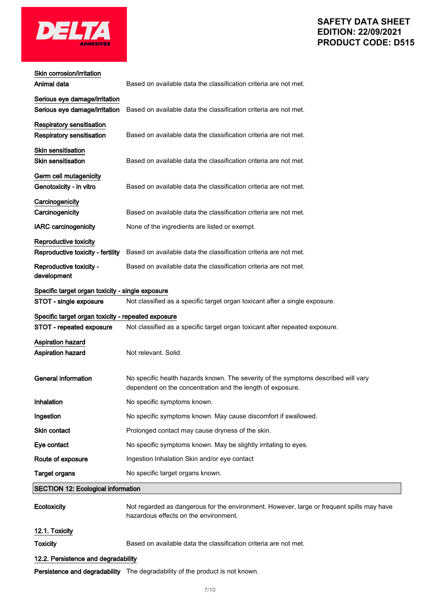

| Skin corrosion/irritation                          |                                                                                                                                                  |
|----------------------------------------------------|--------------------------------------------------------------------------------------------------------------------------------------------------|
| Animal data                                        | Based on available data the classification criteria are not met.                                                                                 |
| Serious eye damage/irritation                      |                                                                                                                                                  |
| Serious eye damage/irritation                      | Based on available data the classification criteria are not met.                                                                                 |
| <b>Respiratory sensitisation</b>                   |                                                                                                                                                  |
| <b>Respiratory sensitisation</b>                   | Based on available data the classification criteria are not met.                                                                                 |
| <b>Skin sensitisation</b>                          |                                                                                                                                                  |
| <b>Skin sensitisation</b>                          | Based on available data the classification criteria are not met.                                                                                 |
| Germ cell mutagenicity                             |                                                                                                                                                  |
| Genotoxicity - in vitro                            | Based on available data the classification criteria are not met.                                                                                 |
| Carcinogenicity                                    |                                                                                                                                                  |
| Carcinogenicity                                    | Based on available data the classification criteria are not met.                                                                                 |
| <b>IARC</b> carcinogenicity                        | None of the ingredients are listed or exempt.                                                                                                    |
| Reproductive toxicity                              |                                                                                                                                                  |
| Reproductive toxicity - fertility                  | Based on available data the classification criteria are not met.                                                                                 |
| Reproductive toxicity -<br>development             | Based on available data the classification criteria are not met.                                                                                 |
| Specific target organ toxicity - single exposure   |                                                                                                                                                  |
| STOT - single exposure                             | Not classified as a specific target organ toxicant after a single exposure.                                                                      |
| Specific target organ toxicity - repeated exposure |                                                                                                                                                  |
| STOT - repeated exposure                           | Not classified as a specific target organ toxicant after repeated exposure.                                                                      |
| <b>Aspiration hazard</b>                           |                                                                                                                                                  |
| Aspiration hazard                                  | Not relevant. Solid.                                                                                                                             |
|                                                    |                                                                                                                                                  |
| <b>General information</b>                         | No specific health hazards known. The severity of the symptoms described will vary<br>dependent on the concentration and the length of exposure. |
| <b>Inhalation</b>                                  | No specific symptoms known.                                                                                                                      |
| Ingestion                                          | No specific symptoms known. May cause discomfort if swallowed.                                                                                   |
| Skin contact                                       | Prolonged contact may cause dryness of the skin.                                                                                                 |
| Eye contact                                        | No specific symptoms known. May be slightly irritating to eyes.                                                                                  |
| Route of exposure                                  | Ingestion Inhalation Skin and/or eye contact                                                                                                     |
| <b>Target organs</b>                               | No specific target organs known.                                                                                                                 |
| <b>SECTION 12: Ecological information</b>          |                                                                                                                                                  |
| <b>Ecotoxicity</b>                                 | Not regarded as dangerous for the environment. However, large or frequent spills may have<br>hazardous effects on the environment.               |
| 12.1. Toxicity                                     |                                                                                                                                                  |
| <b>Toxicity</b>                                    | Based on available data the classification criteria are not met.                                                                                 |
|                                                    |                                                                                                                                                  |
| 12.2. Persistence and degradability                |                                                                                                                                                  |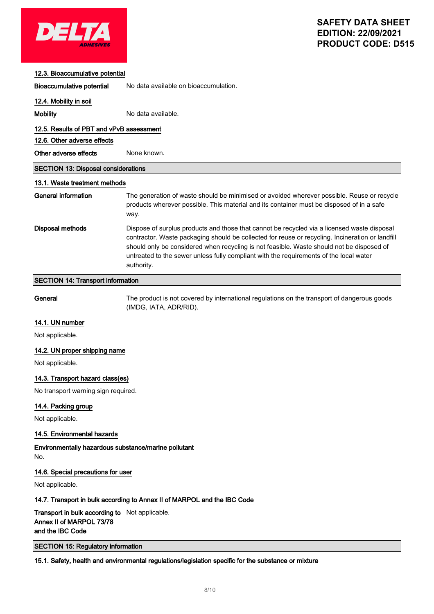

#### 12.3. Bioaccumulative potential

Bioaccumulative potential No data available on bioaccumulation.

#### 12.4. Mobility in soil

Mobility Mobility No data available.

### 12.5. Results of PBT and vPvB assessment

12.6. Other adverse effects

# Other adverse effects None known.

## SECTION 13: Disposal considerations

## 13.1. Waste treatment methods

| General information | The generation of waste should be minimised or avoided wherever possible. Reuse or recycle<br>products wherever possible. This material and its container must be disposed of in a safe<br>way.                                                                                                                                                                                                      |
|---------------------|------------------------------------------------------------------------------------------------------------------------------------------------------------------------------------------------------------------------------------------------------------------------------------------------------------------------------------------------------------------------------------------------------|
| Disposal methods    | Dispose of surplus products and those that cannot be recycled via a licensed waste disposal<br>contractor. Waste packaging should be collected for reuse or recycling. Incineration or landfill<br>should only be considered when recycling is not feasible. Waste should not be disposed of<br>untreated to the sewer unless fully compliant with the requirements of the local water<br>authority. |

## SECTION 14: Transport information

General The product is not covered by international regulations on the transport of dangerous goods (IMDG, IATA, ADR/RID).

### 14.1. UN number

Not applicable.

### 14.2. UN proper shipping name

Not applicable.

### 14.3. Transport hazard class(es)

No transport warning sign required.

### 14.4. Packing group

Not applicable.

### 14.5. Environmental hazards

Environmentally hazardous substance/marine pollutant No.

### 14.6. Special precautions for user

Not applicable.

## 14.7. Transport in bulk according to Annex II of MARPOL and the IBC Code

# Transport in bulk according to Not applicable. Annex II of MARPOL 73/78 and the IBC Code

SECTION 15: Regulatory information

### 15.1. Safety, health and environmental regulations/legislation specific for the substance or mixture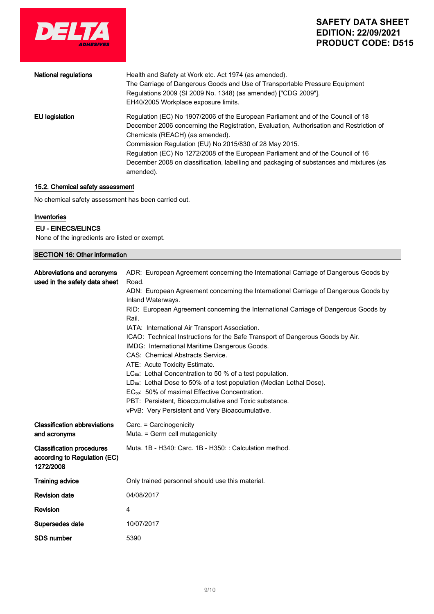

| <b>National regulations</b> | Health and Safety at Work etc. Act 1974 (as amended).<br>The Carriage of Dangerous Goods and Use of Transportable Pressure Equipment<br>Regulations 2009 (SI 2009 No. 1348) (as amended) ["CDG 2009"].<br>EH40/2005 Workplace exposure limits.                                                                                                                                                                                                                       |
|-----------------------------|----------------------------------------------------------------------------------------------------------------------------------------------------------------------------------------------------------------------------------------------------------------------------------------------------------------------------------------------------------------------------------------------------------------------------------------------------------------------|
| EU legislation              | Regulation (EC) No 1907/2006 of the European Parliament and of the Council of 18<br>December 2006 concerning the Registration, Evaluation, Authorisation and Restriction of<br>Chemicals (REACH) (as amended).<br>Commission Regulation (EU) No 2015/830 of 28 May 2015.<br>Regulation (EC) No 1272/2008 of the European Parliament and of the Council of 16<br>December 2008 on classification, labelling and packaging of substances and mixtures (as<br>amended). |

## 15.2. Chemical safety assessment

No chemical safety assessment has been carried out.

#### Inventories

# EU - EINECS/ELINCS

None of the ingredients are listed or exempt.

| <b>SECTION 16: Other information</b>                                          |                                                                                                          |  |
|-------------------------------------------------------------------------------|----------------------------------------------------------------------------------------------------------|--|
| Abbreviations and acronyms<br>used in the safety data sheet                   | ADR: European Agreement concerning the International Carriage of Dangerous Goods by<br>Road.             |  |
|                                                                               | ADN: European Agreement concerning the International Carriage of Dangerous Goods by<br>Inland Waterways. |  |
|                                                                               | RID: European Agreement concerning the International Carriage of Dangerous Goods by<br>Rail.             |  |
|                                                                               | IATA: International Air Transport Association.                                                           |  |
|                                                                               | ICAO: Technical Instructions for the Safe Transport of Dangerous Goods by Air.                           |  |
|                                                                               | IMDG: International Maritime Dangerous Goods.                                                            |  |
|                                                                               | CAS: Chemical Abstracts Service.                                                                         |  |
|                                                                               | ATE: Acute Toxicity Estimate.                                                                            |  |
|                                                                               | LC <sub>50</sub> : Lethal Concentration to 50 % of a test population.                                    |  |
|                                                                               | LD <sub>50</sub> : Lethal Dose to 50% of a test population (Median Lethal Dose).                         |  |
|                                                                               | EC <sub>50</sub> : 50% of maximal Effective Concentration.                                               |  |
|                                                                               | PBT: Persistent, Bioaccumulative and Toxic substance.                                                    |  |
|                                                                               | vPvB: Very Persistent and Very Bioaccumulative.                                                          |  |
| <b>Classification abbreviations</b>                                           | Carc. = Carcinogenicity                                                                                  |  |
| and acronyms                                                                  | Muta. = Germ cell mutagenicity                                                                           |  |
| <b>Classification procedures</b><br>according to Regulation (EC)<br>1272/2008 | Muta, 1B - H340: Carc, 1B - H350: : Calculation method.                                                  |  |
| <b>Training advice</b>                                                        | Only trained personnel should use this material.                                                         |  |
| <b>Revision date</b>                                                          | 04/08/2017                                                                                               |  |
| <b>Revision</b>                                                               | 4                                                                                                        |  |
| Supersedes date                                                               | 10/07/2017                                                                                               |  |
| <b>SDS number</b>                                                             | 5390                                                                                                     |  |